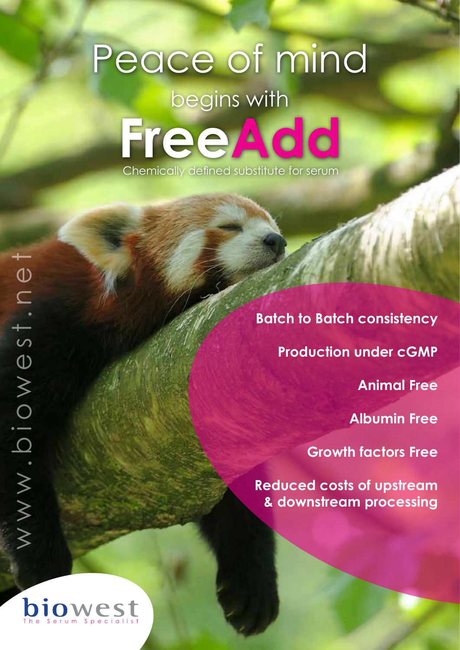# Peace of mind begins with **Free Add** Chemically defined substitute for serum

**Batch to Batch consistency Production under cGMP Animal Free Albumin Free**

**Growth factors Free** 

**Reduced costs of upstream & downstream processing**